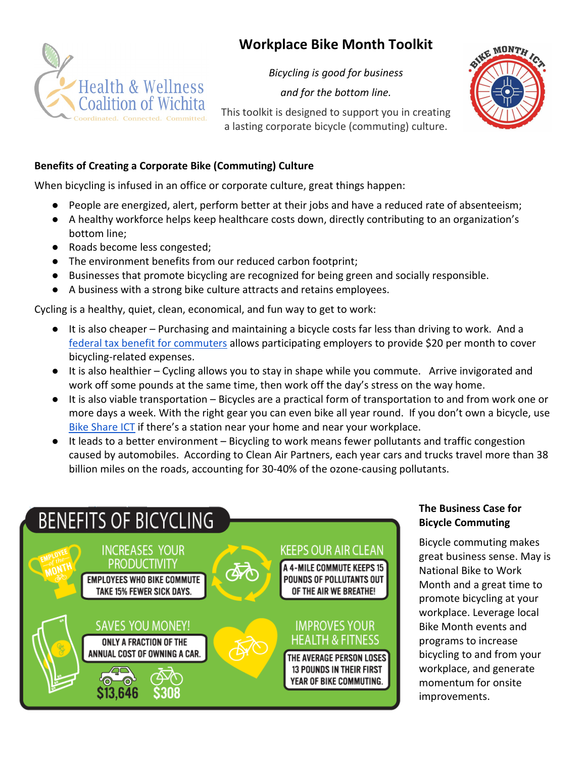# **Workplace Bike Month Toolkit**



*Bicycling is good for business* 

*and for the bottom line.*



This toolkit is designed to support you in creating a lasting corporate bicycle (commuting) culture.

# **Benefits of Creating a Corporate Bike (Commuting) Culture**

When bicycling is infused in an office or corporate culture, great things happen:

- People are energized, alert, perform better at their jobs and have a reduced rate of absenteeism;
- A healthy workforce helps keep healthcare costs down, directly contributing to an organization's bottom line;
- Roads become less congested;
- The environment benefits from our reduced carbon footprint;
- Businesses that promote bicycling are recognized for being green and socially responsible.
- A business with a strong bike culture attracts and retains employees.

Cycling is a healthy, quiet, clean, economical, and fun way to get to work:

- It is also cheaper Purchasing and maintaining a bicycle costs far less than driving to work. And a [federal tax benefit for commuters](https://www.peopleforbikes.org/policy/bicycle-commuter-act) allows participating employers to provide \$20 per month to cover bicycling-related expenses.
- It is also healthier Cycling allows you to stay in shape while you commute. Arrive invigorated and work off some pounds at the same time, then work off the day's stress on the way home.
- It is also viable transportation Bicycles are a practical form of transportation to and from work one or more days a week. With the right gear you can even bike all year round. If you don't own a bicycle, use [Bike Share ICT](https://bikeshareict.com/) if there's a station near your home and near your workplace.
- It leads to a better environment Bicycling to work means fewer pollutants and traffic congestion caused by automobiles. According to Clean Air Partners, each year cars and trucks travel more than 38 billion miles on the roads, accounting for 30-40% of the ozone-causing pollutants.



# **The Business Case for Bicycle Commuting**

Bicycle commuting makes great business sense. May is National Bike to Work Month and a great time to promote bicycling at your workplace. Leverage local Bike Month events and programs to increase bicycling to and from your workplace, and generate momentum for onsite improvements.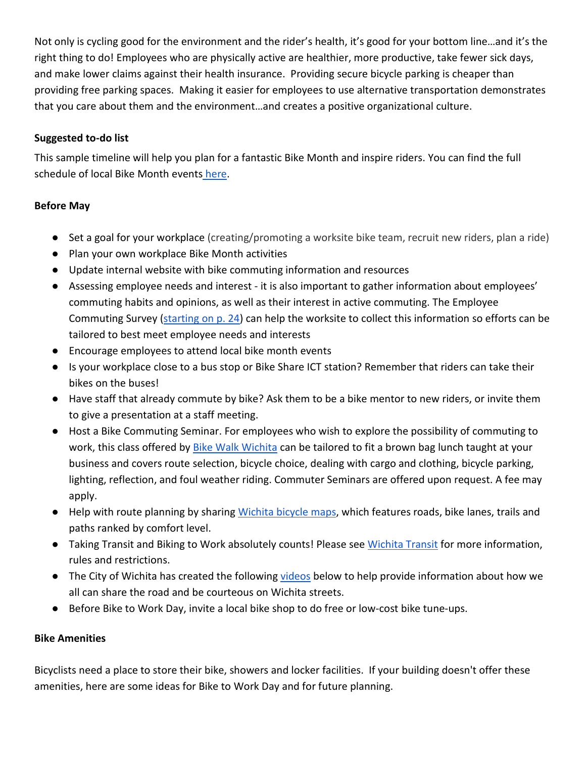Not only is cycling good for the environment and the rider's health, it's good for your bottom line…and it's the right thing to do! Employees who are physically active are healthier, more productive, take fewer sick days, and make lower claims against their health insurance. Providing secure bicycle parking is cheaper than providing free parking spaces. Making it easier for employees to use alternative transportation demonstrates that you care about them and the environment…and creates a positive organizational culture.

# **Suggested to-do list**

This sample timeline will help you plan for a fantastic Bike Month and inspire riders. You can find the full schedule of local Bike Month events [here.](https://www.bikemonthict.org/)

# **Before May**

- Set a goal for your workplace (creating/promoting a worksite bike team, recruit new riders, plan a ride)
- Plan your own workplace [Bike Month activities](http://www.cascade.org/schedule-events)
- Update internal website with bike commuting information and resources
- Assessing employee needs and interest it is also important to gather information about employees' commuting habits and opinions, as well as their interest in active commuting. The Employee Commuting Survey [\(starting on p. 24\)](https://odh.ohio.gov/wps/wcm/connect/gov/0c445acc-72e0-4467-943c-8e9ed9bda9b8/Ohio+Active+Commute+Worksite+Toolkit+-+PRINT+FINAL%28rfs%29.pdf?MOD=AJPERES&CONVERT_TO=url&CACHEID=ROOTWORKSPACE.Z18_K9I401S01H7F40QBNJU3SO1F56-0c445acc-72e0-4467-943c-8e9ed9bda9b8-moS5HH) can help the worksite to collect this information so efforts can be tailored to best meet employee needs and interests
- Encourage employees to attend local bike month events
- Is your workplace close to a bus stop or Bike Share ICT station? Remember that riders can take their bikes on the buses!
- Have staff that already commute by bike? Ask them to be a bike mentor to new riders, or invite them to give a presentation at a staff meeting.
- Host a Bike Commuting Seminar. For employees who wish to explore the possibility of commuting to work, this class offered by [Bike Walk Wichita](https://bikewalkwichita.org/) can be tailored to fit a brown bag lunch taught at your business and covers route selection, bicycle choice, dealing with cargo and clothing, bicycle parking, lighting, reflection, and foul weather riding. Commuter Seminars are offered upon request. A fee may apply.
- Help with route planning by sharin[g Wichita bicycle maps,](https://www.wichita.gov/Bicycle/Pages/Maps.aspx) which features roads, bike lanes, trails and paths ranked by comfort level.
- Taking Transit and Biking to Work absolutely counts! Please see [Wichita Transit](https://www.wichitatransit.org/Pages/default.aspx) for more information, rules and restrictions.
- The City of Wichita has created the following [videos](https://www.wichita.gov/Bicycle/Pages/Laws.aspx) below to help provide information about how we all can share the road and be courteous on Wichita streets.
- Before Bike to Work Day, invite a local bike shop to do free or low-cost bike tune-ups.

## **Bike Amenities**

Bicyclists need a place to store their bike, showers and locker facilities. If your building doesn't offer these amenities, here are some ideas for Bike to Work Day and for future planning.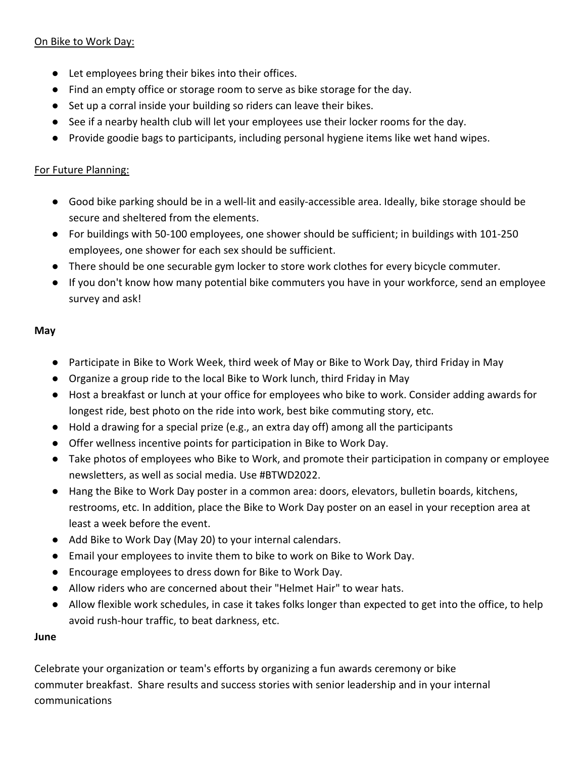## On Bike to Work Day:

- Let employees bring their bikes into their offices.
- Find an empty office or storage room to serve as bike storage for the day.
- Set up a corral inside your building so riders can leave their bikes.
- See if a nearby health club will let your employees use their locker rooms for the day.
- Provide goodie bags to participants, including personal hygiene items like wet hand wipes.

#### For Future Planning:

- Good bike parking should be in a well-lit and easily-accessible area. Ideally, bike storage should be secure and sheltered from the elements.
- For buildings with 50-100 employees, one shower should be sufficient; in buildings with 101-250 employees, one shower for each sex should be sufficient.
- There should be one securable gym locker to store work clothes for every bicycle commuter.
- If you don't know how many potential bike commuters you have in your workforce, send an employee survey and ask!

#### **May**

- Participate in Bike to Work Week, third week of May or Bike to Work Day, third Friday in May
- Organize a group ride to the local Bike to Work lunch, third Friday in May
- Host a breakfast or lunch at your office for employees who bike to work. Consider adding awards for longest ride, best photo on the ride into work, best bike commuting story, etc.
- Hold a drawing for a special prize (e.g., an extra day off) among all the participants
- Offer wellness incentive points for participation in Bike to Work Day.
- Take photos of employees who Bike to Work, and promote their participation in company or employee newsletters, as well as social media. Use #BTWD2022.
- Hang the Bike to Work Day poster in a common area: doors, elevators, bulletin boards, kitchens, restrooms, etc. In addition, place the Bike to Work Day poster on an easel in your reception area at least a week before the event.
- Add Bike to Work Day (May 20) to your internal calendars.
- Email your employees to invite them to bike to work on Bike to Work Day.
- Encourage employees to dress down for Bike to Work Day.
- Allow riders who are concerned about their "Helmet Hair" to wear hats.
- Allow flexible work schedules, in case it takes folks longer than expected to get into the office, to help avoid rush-hour traffic, to beat darkness, etc.

#### **June**

Celebrate your organization or team's efforts by organizing a fun awards ceremony or bike commuter breakfast. Share results and success stories with senior leadership and in your internal communications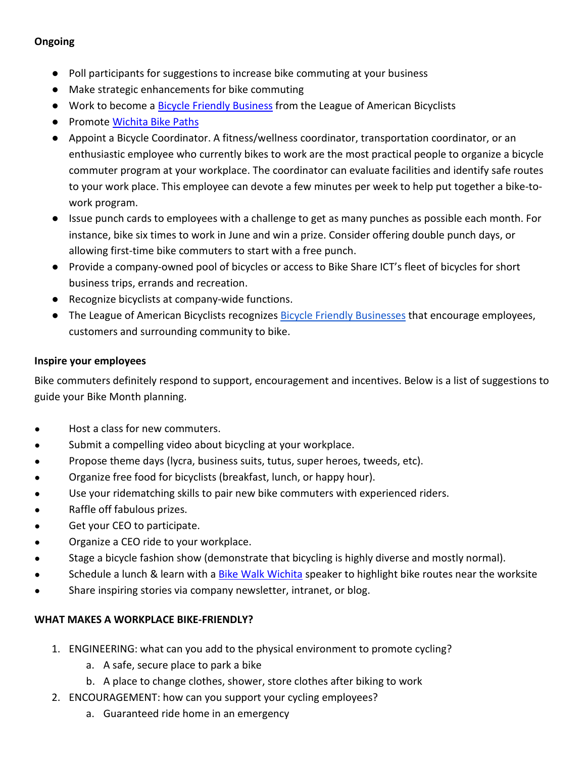# **Ongoing**

- Poll participants for suggestions to increase bike commuting at your business
- Make strategic enhancements for bike commuting
- Work to become a [Bicycle Friendly Business](http://www.bikeleague.org/business) from the League of American Bicyclists
- Promote [Wichita Bike Paths](http://www.wichita.gov/LivePlay/Bicycle/Pages/Maps.aspx)
- Appoint a Bicycle Coordinator. A fitness/wellness coordinator, transportation coordinator, or an enthusiastic employee who currently bikes to work are the most practical people to organize a bicycle commuter program at your workplace. The coordinator can evaluate facilities and identify safe routes to your work place. This employee can devote a few minutes per week to help put together a bike-towork program.
- Issue punch cards to employees with a challenge to get as many punches as possible each month. For instance, bike six times to work in June and win a prize. Consider offering double punch days, or allowing first-time bike commuters to start with a free punch.
- Provide a company-owned pool of bicycles or access to Bike Share ICT's fleet of bicycles for short business trips, errands and recreation.
- Recognize bicyclists at company-wide functions.
- The League of American Bicyclists recognizes **Bicycle Friendly Businesses** that encourage employees, customers and surrounding community to bike.

#### **Inspire your employees**

Bike commuters definitely respond to support, encouragement and incentives. Below is a list of suggestions to guide your Bike Month planning.

- Host a class for new commuters.
- Submit a compelling video about bicycling at your workplace.
- Propose theme days (lycra, business suits, tutus, super heroes, tweeds, etc).
- Organize free food for bicyclists (breakfast, lunch, or happy hour).
- Use your ridematching skills to pair new bike commuters with experienced riders.
- Raffle off fabulous prizes.
- Get your CEO to participate.
- Organize a CEO ride to your workplace.
- Stage a bicycle fashion show (demonstrate that bicycling is highly diverse and mostly normal).
- Schedule a lunch & learn with a [Bike Walk Wichita](http://bikewalkwichita.org/request-a-presentation/) speaker to highlight bike routes near the worksite
- Share inspiring stories via company newsletter, intranet, or blog.

## **WHAT MAKES A WORKPLACE BIKE-FRIENDLY?**

- 1. ENGINEERING: what can you add to the physical environment to promote cycling?
	- a. A safe, secure place to park a bike
	- b. A place to change clothes, shower, store clothes after biking to work
- 2. ENCOURAGEMENT: how can you support your cycling employees?
	- a. Guaranteed ride home in an emergency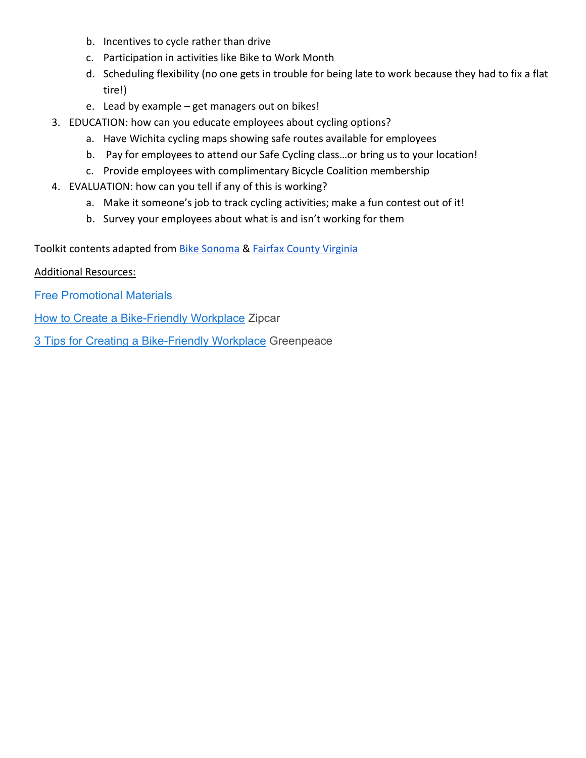- b. Incentives to cycle rather than drive
- c. Participation in activities like Bike to Work Month
- d. Scheduling flexibility (no one gets in trouble for being late to work because they had to fix a flat tire!)
- e. Lead by example get managers out on bikes!
- 3. EDUCATION: how can you educate employees about cycling options?
	- a. Have Wichita cycling maps showing safe routes available for employees
	- b. Pay for employees to attend our Safe Cycling class…or bring us to your location!
	- c. Provide employees with complimentary Bicycle Coalition membership
- 4. EVALUATION: how can you tell if any of this is working?
	- a. Make it someone's job to track cycling activities; make a fun contest out of it!
	- b. Survey your employees about what is and isn't working for them

Toolkit contents adapted from [Bike Sonoma](https://www.bikesonoma.org/btwd/employer-bike-to-work-month-toolkit/) & [Fairfax County Virginia](https://www.fairfaxcounty.gov/transportation/bike-walk/bike-events/biketoworkday2019/business)

# Additional Resources:

[Free Promotional Materials](https://www.bikeleague.org/content/promotional-materials-0)

[How to Create a Bike-Friendly Workplace](https://www.zipcar.com/ziptopia/city-living/create-a-bike-friendly-workplace) Zipcar

3 Tips [for Creating a Bike-Friendly Workplace](https://www.greenpeace.org/usa/3-tips-for-biking-to-work-from-your-friends-at-greenpeace/) Greenpeace